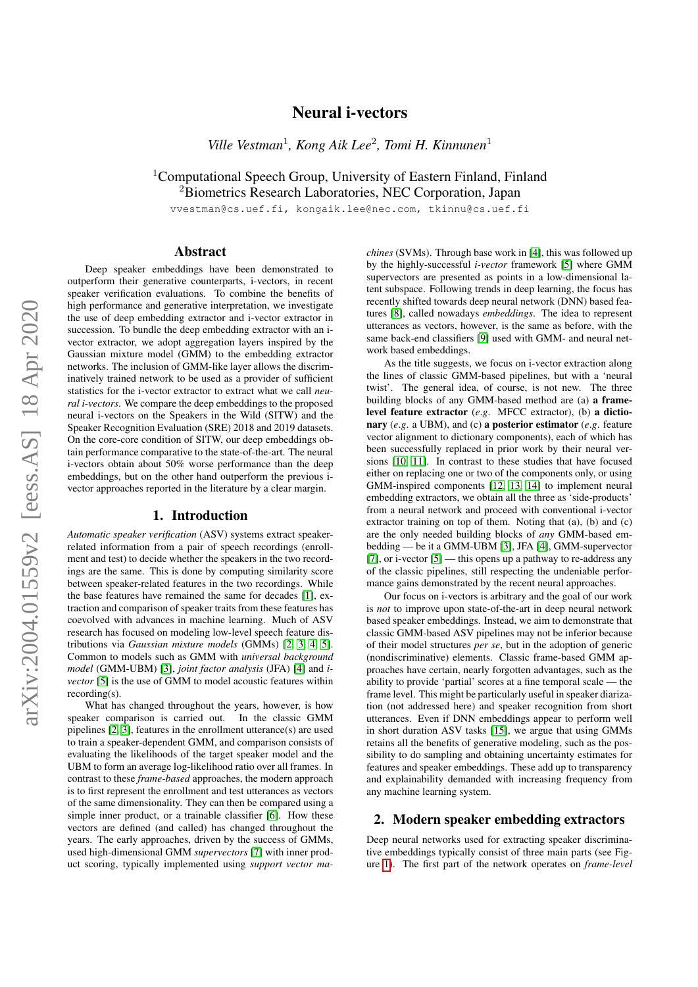# arXiv:2004.01559v2 [eess.AS] 18 Apr 2020 arXiv:2004.01559v2 [eess.AS] 18 Apr 2020

# Neural i-vectors

*Ville Vestman*<sup>1</sup> *, Kong Aik Lee*<sup>2</sup> *, Tomi H. Kinnunen*<sup>1</sup>

<sup>1</sup>Computational Speech Group, University of Eastern Finland, Finland <sup>2</sup>Biometrics Research Laboratories, NEC Corporation, Japan

vvestman@cs.uef.fi, kongaik.lee@nec.com, tkinnu@cs.uef.fi

# Abstract

Deep speaker embeddings have been demonstrated to outperform their generative counterparts, i-vectors, in recent speaker verification evaluations. To combine the benefits of high performance and generative interpretation, we investigate the use of deep embedding extractor and i-vector extractor in succession. To bundle the deep embedding extractor with an ivector extractor, we adopt aggregation layers inspired by the Gaussian mixture model (GMM) to the embedding extractor networks. The inclusion of GMM-like layer allows the discriminatively trained network to be used as a provider of sufficient statistics for the i-vector extractor to extract what we call *neural i-vectors*. We compare the deep embeddings to the proposed neural i-vectors on the Speakers in the Wild (SITW) and the Speaker Recognition Evaluation (SRE) 2018 and 2019 datasets. On the core-core condition of SITW, our deep embeddings obtain performance comparative to the state-of-the-art. The neural i-vectors obtain about 50% worse performance than the deep embeddings, but on the other hand outperform the previous ivector approaches reported in the literature by a clear margin.

#### 1. Introduction

*Automatic speaker verification* (ASV) systems extract speakerrelated information from a pair of speech recordings (enrollment and test) to decide whether the speakers in the two recordings are the same. This is done by computing similarity score between speaker-related features in the two recordings. While the base features have remained the same for decades [\[1\]](#page-6-0), extraction and comparison of speaker traits from these features has coevolved with advances in machine learning. Much of ASV research has focused on modeling low-level speech feature distributions via *Gaussian mixture models* (GMMs) [\[2,](#page-6-1) [3,](#page-6-2) [4,](#page-6-3) [5\]](#page-6-4). Common to models such as GMM with *universal background model* (GMM-UBM) [\[3\]](#page-6-2), *joint factor analysis* (JFA) [\[4\]](#page-6-3) and *ivector* [\[5\]](#page-6-4) is the use of GMM to model acoustic features within recording(s).

What has changed throughout the years, however, is how speaker comparison is carried out. In the classic GMM pipelines [\[2,](#page-6-1) [3\]](#page-6-2), features in the enrollment utterance(s) are used to train a speaker-dependent GMM, and comparison consists of evaluating the likelihoods of the target speaker model and the UBM to form an average log-likelihood ratio over all frames. In contrast to these *frame-based* approaches, the modern approach is to first represent the enrollment and test utterances as vectors of the same dimensionality. They can then be compared using a simple inner product, or a trainable classifier [\[6\]](#page-6-5). How these vectors are defined (and called) has changed throughout the years. The early approaches, driven by the success of GMMs, used high-dimensional GMM *supervectors* [\[7\]](#page-6-6) with inner product scoring, typically implemented using *support vector ma-*

*chines* (SVMs). Through base work in [\[4\]](#page-6-3), this was followed up by the highly-successful *i-vector* framework [\[5\]](#page-6-4) where GMM supervectors are presented as points in a low-dimensional latent subspace. Following trends in deep learning, the focus has recently shifted towards deep neural network (DNN) based features [\[8\]](#page-6-7), called nowadays *embeddings*. The idea to represent utterances as vectors, however, is the same as before, with the same back-end classifiers [\[9\]](#page-6-8) used with GMM- and neural network based embeddings.

As the title suggests, we focus on i-vector extraction along the lines of classic GMM-based pipelines, but with a 'neural twist'. The general idea, of course, is not new. The three building blocks of any GMM-based method are (a) a framelevel feature extractor (*e*.*g*. MFCC extractor), (b) a dictionary (*e*.*g*. a UBM), and (c) a posterior estimator (*e*.*g*. feature vector alignment to dictionary components), each of which has been successfully replaced in prior work by their neural versions [\[10,](#page-6-9) [11\]](#page-6-10). In contrast to these studies that have focused either on replacing one or two of the components only, or using GMM-inspired components [\[12,](#page-6-11) [13,](#page-7-0) [14\]](#page-7-1) to implement neural embedding extractors, we obtain all the three as 'side-products' from a neural network and proceed with conventional i-vector extractor training on top of them. Noting that (a), (b) and (c) are the only needed building blocks of *any* GMM-based embedding — be it a GMM-UBM [\[3\]](#page-6-2), JFA [\[4\]](#page-6-3), GMM-supervector [\[7\]](#page-6-6), or i-vector  $[5]$  — this opens up a pathway to re-address any of the classic pipelines, still respecting the undeniable performance gains demonstrated by the recent neural approaches.

Our focus on i-vectors is arbitrary and the goal of our work is *not* to improve upon state-of-the-art in deep neural network based speaker embeddings. Instead, we aim to demonstrate that classic GMM-based ASV pipelines may not be inferior because of their model structures *per se*, but in the adoption of generic (nondiscriminative) elements. Classic frame-based GMM approaches have certain, nearly forgotten advantages, such as the ability to provide 'partial' scores at a fine temporal scale — the frame level. This might be particularly useful in speaker diarization (not addressed here) and speaker recognition from short utterances. Even if DNN embeddings appear to perform well in short duration ASV tasks [\[15\]](#page-7-2), we argue that using GMMs retains all the benefits of generative modeling, such as the possibility to do sampling and obtaining uncertainty estimates for features and speaker embeddings. These add up to transparency and explainability demanded with increasing frequency from any machine learning system.

# 2. Modern speaker embedding extractors

Deep neural networks used for extracting speaker discriminative embeddings typically consist of three main parts (see Figure [1\)](#page-2-0). The first part of the network operates on *frame-level*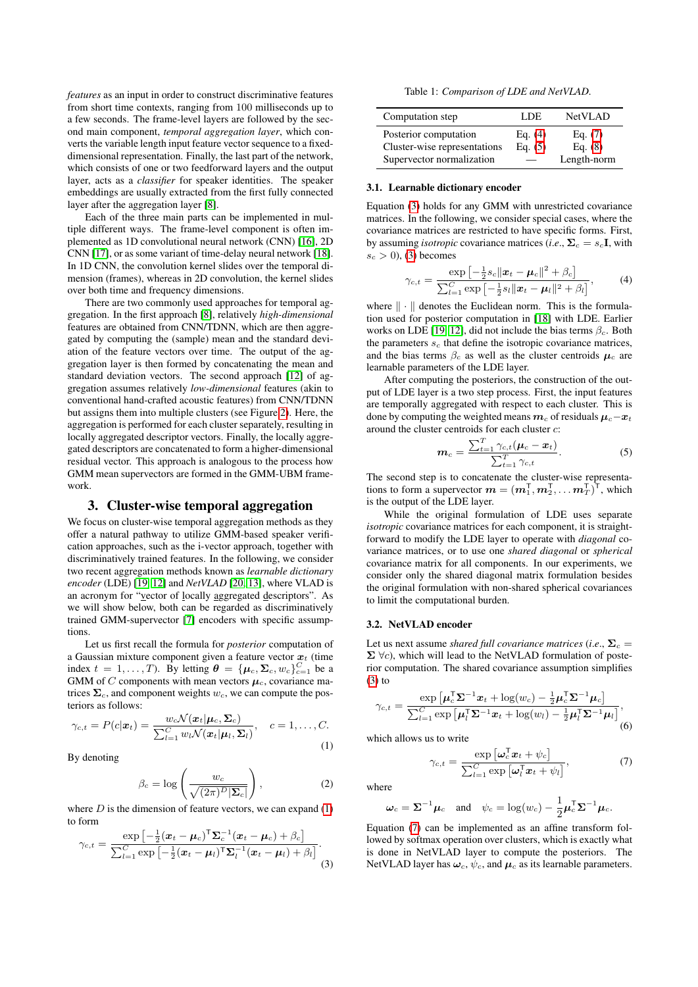*features* as an input in order to construct discriminative features from short time contexts, ranging from 100 milliseconds up to a few seconds. The frame-level layers are followed by the second main component, *temporal aggregation layer*, which converts the variable length input feature vector sequence to a fixeddimensional representation. Finally, the last part of the network, which consists of one or two feedforward layers and the output layer, acts as a *classifier* for speaker identities. The speaker embeddings are usually extracted from the first fully connected layer after the aggregation layer [\[8\]](#page-6-7).

Each of the three main parts can be implemented in multiple different ways. The frame-level component is often implemented as 1D convolutional neural network (CNN) [\[16\]](#page-7-3), 2D CNN [\[17\]](#page-7-4), or as some variant of time-delay neural network [\[18\]](#page-7-5). In 1D CNN, the convolution kernel slides over the temporal dimension (frames), whereas in 2D convolution, the kernel slides over both time and frequency dimensions.

There are two commonly used approaches for temporal aggregation. In the first approach [\[8\]](#page-6-7), relatively *high-dimensional* features are obtained from CNN/TDNN, which are then aggregated by computing the (sample) mean and the standard deviation of the feature vectors over time. The output of the aggregation layer is then formed by concatenating the mean and standard deviation vectors. The second approach [\[12\]](#page-6-11) of aggregation assumes relatively *low-dimensional* features (akin to conventional hand-crafted acoustic features) from CNN/TDNN but assigns them into multiple clusters (see Figure [2\)](#page-2-1). Here, the aggregation is performed for each cluster separately, resulting in locally aggregated descriptor vectors. Finally, the locally aggregated descriptors are concatenated to form a higher-dimensional residual vector. This approach is analogous to the process how GMM mean supervectors are formed in the GMM-UBM framework.

# 3. Cluster-wise temporal aggregation

We focus on cluster-wise temporal aggregation methods as they offer a natural pathway to utilize GMM-based speaker verification approaches, such as the i-vector approach, together with discriminatively trained features. In the following, we consider two recent aggregation methods known as *learnable dictionary encoder* (LDE) [\[19,](#page-7-6) [12\]](#page-6-11) and *NetVLAD* [\[20,](#page-7-7) [13\]](#page-7-0), where VLAD is an acronym for "vector of locally aggregated descriptors". As we will show below, both can be regarded as discriminatively trained GMM-supervector [\[7\]](#page-6-6) encoders with specific assumptions.

Let us first recall the formula for *posterior* computation of a Gaussian mixture component given a feature vector  $x_t$  (time index  $t = 1, ..., T$ ). By letting  $\boldsymbol{\theta} = {\mu_c, \Sigma_c, w_c}_{c=1}^C$  be a GMM of C components with mean vectors  $\mu_c$ , covariance matrices  $\Sigma_c$ , and component weights  $w_c$ , we can compute the posteriors as follows:

<span id="page-1-0"></span>
$$
\gamma_{c,t} = P(c|\boldsymbol{x}_t) = \frac{w_c \mathcal{N}(\boldsymbol{x}_t | \boldsymbol{\mu}_c, \boldsymbol{\Sigma}_c)}{\sum_{l=1}^C w_l \mathcal{N}(\boldsymbol{x}_t | \boldsymbol{\mu}_l, \boldsymbol{\Sigma}_l)}, \quad c = 1, \dots, C.
$$
\n(1)

By denoting

$$
\beta_c = \log \left( \frac{w_c}{\sqrt{(2\pi)^D |\Sigma_c|}} \right),\tag{2}
$$

where  $D$  is the dimension of feature vectors, we can expand  $(1)$ to form

<span id="page-1-4"></span>
$$
\gamma_{c,t} = \frac{\exp\left[-\frac{1}{2}(\boldsymbol{x}_t - \boldsymbol{\mu}_c)^\mathsf{T} \boldsymbol{\Sigma}_c^{-1}(\boldsymbol{x}_t - \boldsymbol{\mu}_c) + \beta_c\right]}{\sum_{l=1}^C \exp\left[-\frac{1}{2}(\boldsymbol{x}_t - \boldsymbol{\mu}_l)^\mathsf{T} \boldsymbol{\Sigma}_l^{-1}(\boldsymbol{x}_t - \boldsymbol{\mu}_l) + \beta_l\right]}.
$$
\n(3)

Table 1: *Comparison of LDE and NetVLAD.*

<span id="page-1-5"></span>

| Computation step                                      | LDE.                   | <b>NetVLAD</b>         |
|-------------------------------------------------------|------------------------|------------------------|
| Posterior computation<br>Cluster-wise representations | Eq. $(4)$<br>Eq. $(5)$ | Eq. $(7)$<br>Eq. $(8)$ |
| Supervector normalization                             |                        | Length-norm            |

### 3.1. Learnable dictionary encoder

Equation [\(3\)](#page-1-4) holds for any GMM with unrestricted covariance matrices. In the following, we consider special cases, where the covariance matrices are restricted to have specific forms. First, by assuming *isotropic* covariance matrices (*i.e.*,  $\Sigma_c = s_c$ **I**, with  $s_c > 0$ , [\(3\)](#page-1-4) becomes

<span id="page-1-1"></span>
$$
\gamma_{c,t} = \frac{\exp\left[-\frac{1}{2}s_c\|\mathbf{x}_t - \boldsymbol{\mu}_c\|^2 + \beta_c\right]}{\sum_{l=1}^C \exp\left[-\frac{1}{2}s_l\|\mathbf{x}_t - \boldsymbol{\mu}_l\|^2 + \beta_l\right]},\tag{4}
$$

where  $\|\cdot\|$  denotes the Euclidean norm. This is the formulation used for posterior computation in [\[18\]](#page-7-5) with LDE. Earlier works on LDE [\[19,](#page-7-6) [12\]](#page-6-11), did not include the bias terms  $\beta_c$ . Both the parameters  $s_c$  that define the isotropic covariance matrices, and the bias terms  $\beta_c$  as well as the cluster centroids  $\mu_c$  are learnable parameters of the LDE layer.

After computing the posteriors, the construction of the output of LDE layer is a two step process. First, the input features are temporally aggregated with respect to each cluster. This is done by computing the weighted means  $m_c$  of residuals  $\mu_c - x_t$ around the cluster centroids for each cluster c:

<span id="page-1-3"></span>
$$
\boldsymbol{m}_c = \frac{\sum_{t=1}^T \gamma_{c,t} (\boldsymbol{\mu}_c - \boldsymbol{x}_t)}{\sum_{t=1}^T \gamma_{c,t}}.
$$
 (5)

The second step is to concatenate the cluster-wise representations to form a supervector  $\boldsymbol{m} = (\boldsymbol{m}_1^{\mathsf{T}}, \boldsymbol{m}_2^{\mathsf{T}}, \dots \boldsymbol{m}_T^{\mathsf{T}})^{\mathsf{T}}$ , which is the output of the LDE layer.

While the original formulation of LDE uses separate *isotropic* covariance matrices for each component, it is straightforward to modify the LDE layer to operate with *diagonal* covariance matrices, or to use one *shared diagonal* or *spherical* covariance matrix for all components. In our experiments, we consider only the shared diagonal matrix formulation besides the original formulation with non-shared spherical covariances to limit the computational burden.

#### 3.2. NetVLAD encoder

Let us next assume *shared full covariance matrices* (*i.e.*,  $\Sigma_c$  =  $\Sigma \ \forall c$ ), which will lead to the NetVLAD formulation of posterior computation. The shared covariance assumption simplifies [\(3\)](#page-1-4) to

$$
\gamma_{c,t} = \frac{\exp\left[\boldsymbol{\mu}_c^{\mathsf{T}}\boldsymbol{\Sigma}^{-1}\boldsymbol{x}_t + \log(w_c) - \frac{1}{2}\boldsymbol{\mu}_c^{\mathsf{T}}\boldsymbol{\Sigma}^{-1}\boldsymbol{\mu}_c\right]}{\sum_{l=1}^C \exp\left[\boldsymbol{\mu}_l^{\mathsf{T}}\boldsymbol{\Sigma}^{-1}\boldsymbol{x}_t + \log(w_l) - \frac{1}{2}\boldsymbol{\mu}_l^{\mathsf{T}}\boldsymbol{\Sigma}^{-1}\boldsymbol{\mu}_l\right]},\tag{6}
$$

which allows us to write

<span id="page-1-2"></span>
$$
\gamma_{c,t} = \frac{\exp\left[\omega_c^{\mathsf{T}} \boldsymbol{x}_t + \psi_c\right]}{\sum_{l=1}^{C} \exp\left[\omega_l^{\mathsf{T}} \boldsymbol{x}_t + \psi_l\right]},\tag{7}
$$

where

$$
\omega_c = \Sigma^{-1} \mu_c
$$
 and  $\psi_c = \log(w_c) - \frac{1}{2} \mu_c^{\mathsf{T}} \Sigma^{-1} \mu_c$ .

Equation [\(7\)](#page-1-2) can be implemented as an affine transform followed by softmax operation over clusters, which is exactly what is done in NetVLAD layer to compute the posteriors. The NetVLAD layer has  $\omega_c$ ,  $\psi_c$ , and  $\mu_c$  as its learnable parameters.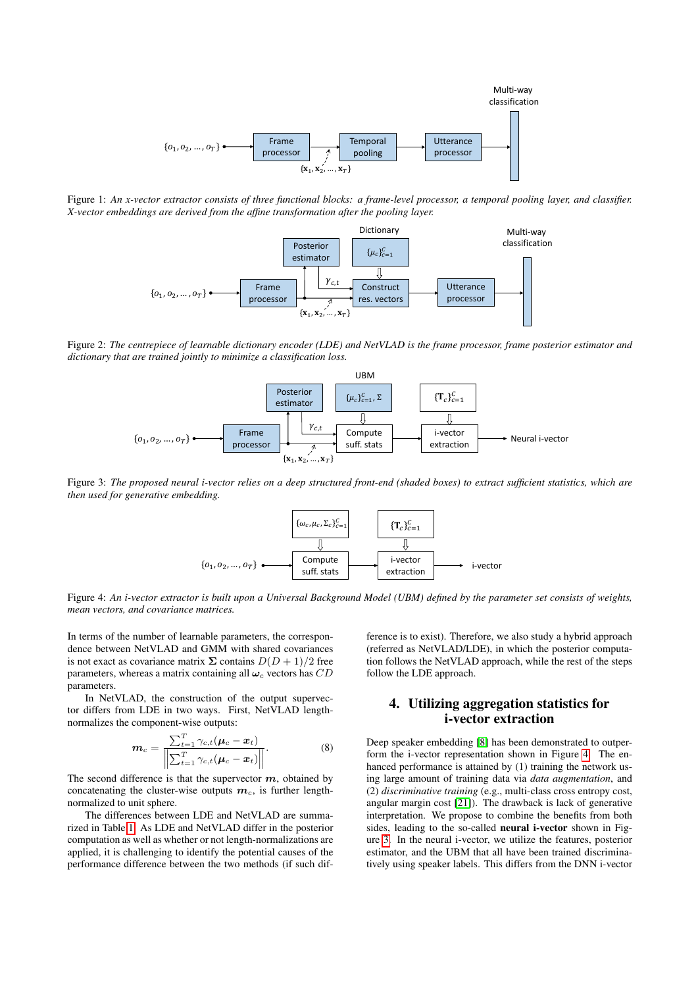<span id="page-2-0"></span>

<span id="page-2-1"></span>Figure 1: *An x-vector extractor consists of three functional blocks: a frame-level processor, a temporal pooling layer, and classifier. X-vector embeddings are derived from the affine transformation after the pooling layer.*



<span id="page-2-4"></span>Figure 2: *The centrepiece of learnable dictionary encoder (LDE) and NetVLAD is the frame processor, frame posterior estimator and dictionary that are trained jointly to minimize a classification loss.*



<span id="page-2-3"></span>Figure 3: *The proposed neural i-vector relies on a deep structured front-end (shaded boxes) to extract sufficient statistics, which are then used for generative embedding.*



Figure 4: *An i-vector extractor is built upon a Universal Background Model (UBM) defined by the parameter set consists of weights, mean vectors, and covariance matrices.*

In terms of the number of learnable parameters, the correspondence between NetVLAD and GMM with shared covariances is not exact as covariance matrix  $\Sigma$  contains  $D(D+1)/2$  free parameters, whereas a matrix containing all  $\omega_c$  vectors has  $CD$ parameters.

In NetVLAD, the construction of the output supervector differs from LDE in two ways. First, NetVLAD lengthnormalizes the component-wise outputs:

<span id="page-2-2"></span>
$$
\boldsymbol{m}_c = \frac{\sum_{t=1}^T \gamma_{c,t} (\boldsymbol{\mu}_c - \boldsymbol{x}_t)}{\left\| \sum_{t=1}^T \gamma_{c,t} (\boldsymbol{\mu}_c - \boldsymbol{x}_t) \right\|}.
$$
 (8)

The second difference is that the supervector  $m$ , obtained by concatenating the cluster-wise outputs  $m_c$ , is further lengthnormalized to unit sphere.

The differences between LDE and NetVLAD are summarized in Table [1.](#page-1-5) As LDE and NetVLAD differ in the posterior computation as well as whether or not length-normalizations are applied, it is challenging to identify the potential causes of the performance difference between the two methods (if such difference is to exist). Therefore, we also study a hybrid approach (referred as NetVLAD/LDE), in which the posterior computation follows the NetVLAD approach, while the rest of the steps follow the LDE approach.

# 4. Utilizing aggregation statistics for i-vector extraction

Deep speaker embedding [\[8\]](#page-6-7) has been demonstrated to outperform the i-vector representation shown in Figure [4.](#page-2-3) The enhanced performance is attained by (1) training the network using large amount of training data via *data augmentation*, and (2) *discriminative training* (e.g., multi-class cross entropy cost, angular margin cost [\[21\]](#page-7-8)). The drawback is lack of generative interpretation. We propose to combine the benefits from both sides, leading to the so-called neural i-vector shown in Figure [3.](#page-2-4) In the neural i-vector, we utilize the features, posterior estimator, and the UBM that all have been trained discriminatively using speaker labels. This differs from the DNN i-vector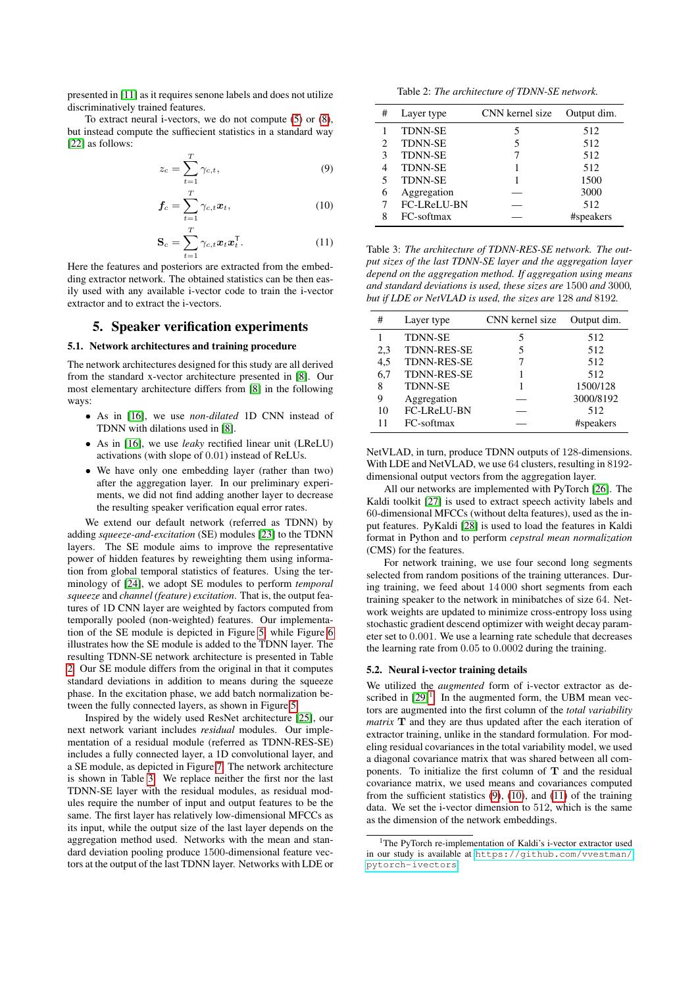presented in [\[11\]](#page-6-10) as it requires senone labels and does not utilize discriminatively trained features.

To extract neural i-vectors, we do not compute [\(5\)](#page-1-3) or [\(8\)](#page-2-2), but instead compute the suffiecient statistics in a standard way [\[22\]](#page-7-9) as follows:

$$
z_c = \sum_{t=1}^{T} \gamma_{c,t},\tag{9}
$$

$$
\boldsymbol{f}_c = \sum_{t=1}^T \gamma_{c,t} \boldsymbol{x}_t,\tag{10}
$$

$$
\mathbf{S}_c = \sum_{t=1}^T \gamma_{c,t} \boldsymbol{x}_t \boldsymbol{x}_t^\mathsf{T}.
$$
 (11)

Here the features and posteriors are extracted from the embedding extractor network. The obtained statistics can be then easily used with any available i-vector code to train the i-vector extractor and to extract the i-vectors.

# 5. Speaker verification experiments

## 5.1. Network architectures and training procedure

The network architectures designed for this study are all derived from the standard x-vector architecture presented in [\[8\]](#page-6-7). Our most elementary architecture differs from [\[8\]](#page-6-7) in the following ways:

- As in [\[16\]](#page-7-3), we use *non-dilated* 1D CNN instead of TDNN with dilations used in [\[8\]](#page-6-7).
- As in [\[16\]](#page-7-3), we use *leaky* rectified linear unit (LReLU) activations (with slope of 0.01) instead of ReLUs.
- We have only one embedding layer (rather than two) after the aggregation layer. In our preliminary experiments, we did not find adding another layer to decrease the resulting speaker verification equal error rates.

We extend our default network (referred as TDNN) by adding *squeeze-and-excitation* (SE) modules [\[23\]](#page-7-10) to the TDNN layers. The SE module aims to improve the representative power of hidden features by reweighting them using information from global temporal statistics of features. Using the terminology of [\[24\]](#page-7-11), we adopt SE modules to perform *temporal squeeze* and *channel (feature) excitation*. That is, the output features of 1D CNN layer are weighted by factors computed from temporally pooled (non-weighted) features. Our implementation of the SE module is depicted in Figure [5,](#page-4-0) while Figure [6](#page-4-1) illustrates how the SE module is added to the TDNN layer. The resulting TDNN-SE network architecture is presented in Table [2.](#page-3-0) Our SE module differs from the original in that it computes standard deviations in addition to means during the squeeze phase. In the excitation phase, we add batch normalization between the fully connected layers, as shown in Figure [5.](#page-4-0)

Inspired by the widely used ResNet architecture [\[25\]](#page-7-12), our next network variant includes *residual* modules. Our implementation of a residual module (referred as TDNN-RES-SE) includes a fully connected layer, a 1D convolutional layer, and a SE module, as depicted in Figure [7.](#page-4-2) The network architecture is shown in Table [3.](#page-3-1) We replace neither the first nor the last TDNN-SE layer with the residual modules, as residual modules require the number of input and output features to be the same. The first layer has relatively low-dimensional MFCCs as its input, while the output size of the last layer depends on the aggregation method used. Networks with the mean and standard deviation pooling produce 1500-dimensional feature vectors at the output of the last TDNN layer. Networks with LDE or

Table 2: *The architecture of TDNN-SE network.*

<span id="page-3-3"></span><span id="page-3-0"></span>

| # | Layer type         | CNN kernel size | Output dim. |
|---|--------------------|-----------------|-------------|
|   | <b>TDNN-SE</b>     | 5               | 512         |
|   | <b>TDNN-SE</b>     | 5               | 512         |
| 3 | <b>TDNN-SE</b>     |                 | 512         |
| 4 | <b>TDNN-SE</b>     |                 | 512         |
|   | <b>TDNN-SE</b>     |                 | 1500        |
| 6 | Aggregation        |                 | 3000        |
|   | <b>FC-LReLU-BN</b> |                 | 512         |
| 8 | FC-softmax         |                 | #speakers   |

<span id="page-3-5"></span><span id="page-3-4"></span><span id="page-3-1"></span>Table 3: *The architecture of TDNN-RES-SE network. The output sizes of the last TDNN-SE layer and the aggregation layer depend on the aggregation method. If aggregation using means and standard deviations is used, these sizes are* 1500 *and* 3000*, but if LDE or NetVLAD is used, the sizes are* 128 *and* 8192*.*

| #   | Layer type         | CNN kernel size | Output dim. |
|-----|--------------------|-----------------|-------------|
|     | <b>TDNN-SE</b>     | 5               | 512         |
| 2,3 | <b>TDNN-RES-SE</b> | 5               | 512         |
| 4,5 | <b>TDNN-RES-SE</b> |                 | 512         |
| 6,7 | <b>TDNN-RES-SE</b> |                 | 512         |
| 8   | <b>TDNN-SE</b>     |                 | 1500/128    |
| 9   | Aggregation        |                 | 3000/8192   |
| 10  | FC-LReLU-BN        |                 | 512         |
| 11  | FC-softmax         |                 | #speakers   |

NetVLAD, in turn, produce TDNN outputs of 128-dimensions. With LDE and NetVLAD, we use 64 clusters, resulting in 8192 dimensional output vectors from the aggregation layer.

All our networks are implemented with PyTorch [\[26\]](#page-7-13). The Kaldi toolkit [\[27\]](#page-7-14) is used to extract speech activity labels and 60-dimensional MFCCs (without delta features), used as the input features. PyKaldi [\[28\]](#page-7-15) is used to load the features in Kaldi format in Python and to perform *cepstral mean normalization* (CMS) for the features.

For network training, we use four second long segments selected from random positions of the training utterances. During training, we feed about 14 000 short segments from each training speaker to the network in minibatches of size 64. Network weights are updated to minimize cross-entropy loss using stochastic gradient descend optimizer with weight decay parameter set to 0.001. We use a learning rate schedule that decreases the learning rate from 0.05 to 0.0002 during the training.

#### 5.2. Neural i-vector training details

We utilized the *augmented* form of i-vector extractor as described in  $[29]$ <sup>[1](#page-3-2)</sup>. In the augmented form, the UBM mean vectors are augmented into the first column of the *total variability matrix* T and they are thus updated after the each iteration of extractor training, unlike in the standard formulation. For modeling residual covariances in the total variability model, we used a diagonal covariance matrix that was shared between all components. To initialize the first column of  $T$  and the residual covariance matrix, we used means and covariances computed from the sufficient statistics [\(9\)](#page-3-3), [\(10\)](#page-3-4), and [\(11\)](#page-3-5) of the training data. We set the i-vector dimension to 512, which is the same as the dimension of the network embeddings.

<span id="page-3-2"></span><sup>&</sup>lt;sup>1</sup>The PyTorch re-implementation of Kaldi's i-vector extractor used in our study is available at [https://github.com/vvestman/](https://github.com/vvestman/pytorch-ivectors) [pytorch-ivectors](https://github.com/vvestman/pytorch-ivectors)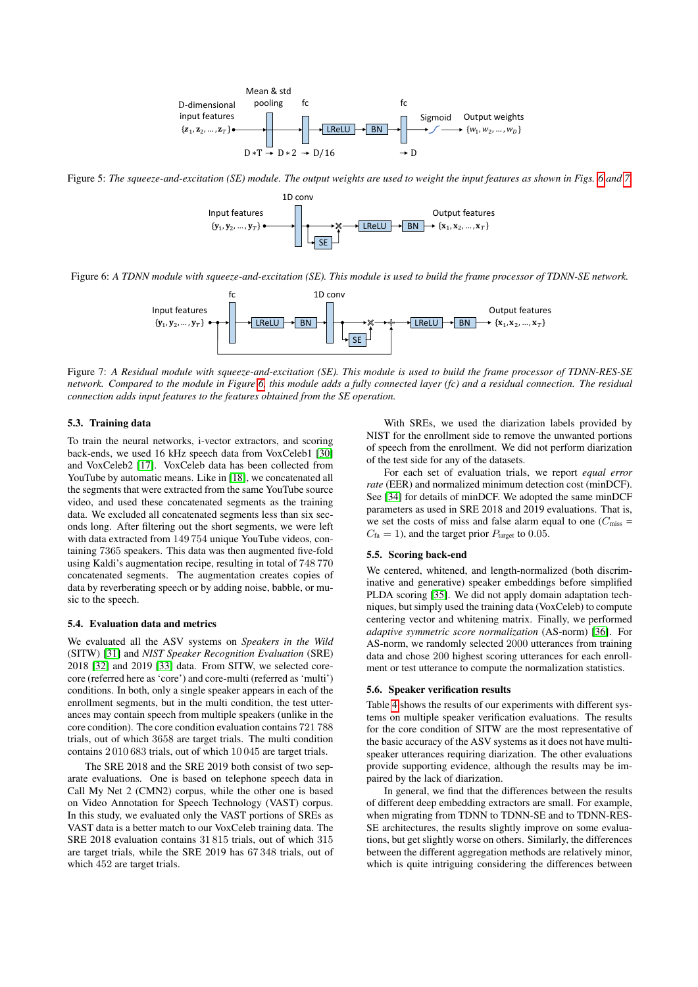<span id="page-4-0"></span>

<span id="page-4-1"></span>Figure 5: *The squeeze-and-excitation (SE) module. The output weights are used to weight the input features as shown in Figs. [6](#page-4-1) and [7.](#page-4-2)*



<span id="page-4-2"></span>Figure 6: *A TDNN module with squeeze-and-excitation (SE). This module is used to build the frame processor of TDNN-SE network.*



Figure 7: *A Residual module with squeeze-and-excitation (SE). This module is used to build the frame processor of TDNN-RES-SE network. Compared to the module in Figure [6,](#page-4-1) this module adds a fully connected layer (fc) and a residual connection. The residual connection adds input features to the features obtained from the SE operation.*

## 5.3. Training data

To train the neural networks, i-vector extractors, and scoring back-ends, we used 16 kHz speech data from VoxCeleb1 [\[30\]](#page-7-17) and VoxCeleb2 [\[17\]](#page-7-4). VoxCeleb data has been collected from YouTube by automatic means. Like in [\[18\]](#page-7-5), we concatenated all the segments that were extracted from the same YouTube source video, and used these concatenated segments as the training data. We excluded all concatenated segments less than six seconds long. After filtering out the short segments, we were left with data extracted from 149 754 unique YouTube videos, containing 7365 speakers. This data was then augmented five-fold using Kaldi's augmentation recipe, resulting in total of 748 770 concatenated segments. The augmentation creates copies of data by reverberating speech or by adding noise, babble, or music to the speech.

#### 5.4. Evaluation data and metrics

We evaluated all the ASV systems on *Speakers in the Wild* (SITW) [\[31\]](#page-7-18) and *NIST Speaker Recognition Evaluation* (SRE) 2018 [\[32\]](#page-7-19) and 2019 [\[33\]](#page-7-20) data. From SITW, we selected corecore (referred here as 'core') and core-multi (referred as 'multi') conditions. In both, only a single speaker appears in each of the enrollment segments, but in the multi condition, the test utterances may contain speech from multiple speakers (unlike in the core condition). The core condition evaluation contains 721 788 trials, out of which 3658 are target trials. The multi condition contains 2 010 683 trials, out of which 10 045 are target trials.

The SRE 2018 and the SRE 2019 both consist of two separate evaluations. One is based on telephone speech data in Call My Net 2 (CMN2) corpus, while the other one is based on Video Annotation for Speech Technology (VAST) corpus. In this study, we evaluated only the VAST portions of SREs as VAST data is a better match to our VoxCeleb training data. The SRE 2018 evaluation contains 31 815 trials, out of which 315 are target trials, while the SRE 2019 has 67 348 trials, out of which 452 are target trials.

With SREs, we used the diarization labels provided by NIST for the enrollment side to remove the unwanted portions of speech from the enrollment. We did not perform diarization of the test side for any of the datasets.

For each set of evaluation trials, we report *equal error rate* (EER) and normalized minimum detection cost (minDCF). See [\[34\]](#page-7-21) for details of minDCF. We adopted the same minDCF parameters as used in SRE 2018 and 2019 evaluations. That is, we set the costs of miss and false alarm equal to one  $(C_{\text{miss}} =$  $C_{\text{fa}} = 1$ ), and the target prior  $P_{\text{target}}$  to 0.05.

#### 5.5. Scoring back-end

We centered, whitened, and length-normalized (both discriminative and generative) speaker embeddings before simplified PLDA scoring [\[35\]](#page-7-22). We did not apply domain adaptation techniques, but simply used the training data (VoxCeleb) to compute centering vector and whitening matrix. Finally, we performed *adaptive symmetric score normalization* (AS-norm) [\[36\]](#page-7-23). For AS-norm, we randomly selected 2000 utterances from training data and chose 200 highest scoring utterances for each enrollment or test utterance to compute the normalization statistics.

#### 5.6. Speaker verification results

Table [4](#page-5-0) shows the results of our experiments with different systems on multiple speaker verification evaluations. The results for the core condition of SITW are the most representative of the basic accuracy of the ASV systems as it does not have multispeaker utterances requiring diarization. The other evaluations provide supporting evidence, although the results may be impaired by the lack of diarization.

In general, we find that the differences between the results of different deep embedding extractors are small. For example, when migrating from TDNN to TDNN-SE and to TDNN-RES-SE architectures, the results slightly improve on some evaluations, but get slightly worse on others. Similarly, the differences between the different aggregation methods are relatively minor, which is quite intriguing considering the differences between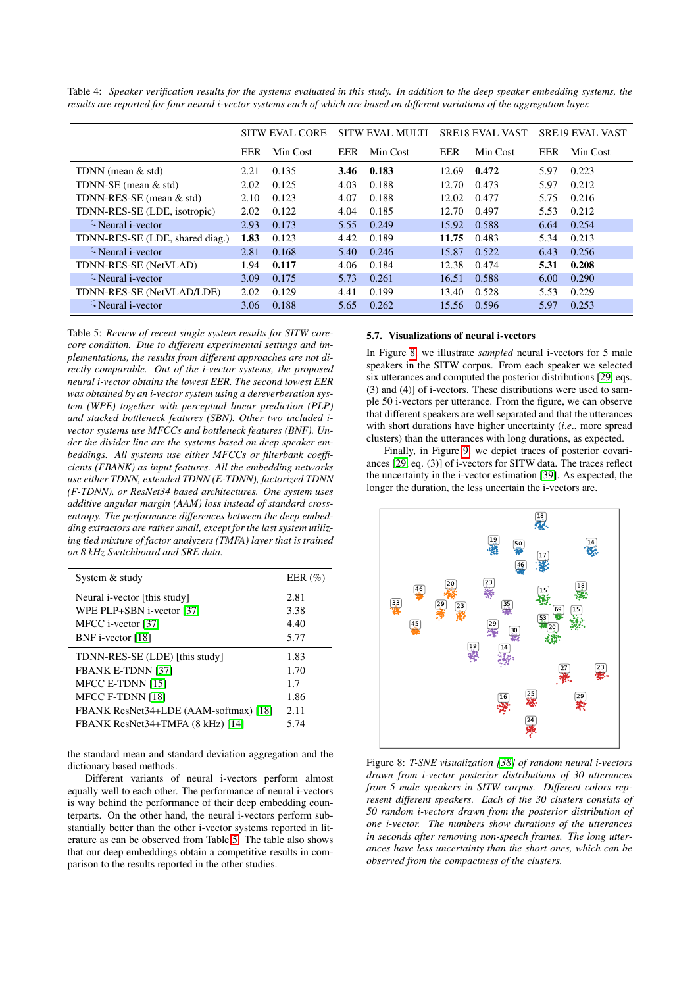|                                 | <b>SITW EVAL CORE</b> |          | <b>SITW EVAL MULTI</b> |          | <b>SRE18 EVAL VAST</b> |          | <b>SRE19 EVAL VAST</b> |          |
|---------------------------------|-----------------------|----------|------------------------|----------|------------------------|----------|------------------------|----------|
|                                 | EER                   | Min Cost | EER                    | Min Cost | EER                    | Min Cost | EER                    | Min Cost |
| TDNN (mean & std)               | 2.21                  | 0.135    | 3.46                   | 0.183    | 12.69                  | 0.472    | 5.97                   | 0.223    |
| TDNN-SE (mean & std)            | 2.02                  | 0.125    | 4.03                   | 0.188    | 12.70                  | 0.473    | 5.97                   | 0.212    |
| TDNN-RES-SE (mean & std)        | 2.10                  | 0.123    | 4.07                   | 0.188    | 12.02                  | 0.477    | 5.75                   | 0.216    |
| TDNN-RES-SE (LDE, isotropic)    | 2.02                  | 0.122    | 4.04                   | 0.185    | 12.70                  | 0.497    | 5.53                   | 0.212    |
| $\Omega$ Neural i-vector        | 2.93                  | 0.173    | 5.55                   | 0.249    | 15.92                  | 0.588    | 6.64                   | 0.254    |
| TDNN-RES-SE (LDE, shared diag.) | 1.83                  | 0.123    | 4.42                   | 0.189    | 11.75                  | 0.483    | 5.34                   | 0.213    |
| $\Omega$ Neural i-vector        | 2.81                  | 0.168    | 5.40                   | 0.246    | 15.87                  | 0.522    | 6.43                   | 0.256    |
| TDNN-RES-SE (NetVLAD)           | 1.94                  | 0.117    | 4.06                   | 0.184    | 12.38                  | 0.474    | 5.31                   | 0.208    |
| $\Omega$ Neural i-vector        | 3.09                  | 0.175    | 5.73                   | 0.261    | 16.51                  | 0.588    | 6.00                   | 0.290    |
| TDNN-RES-SE (NetVLAD/LDE)       | 2.02                  | 0.129    | 4.41                   | 0.199    | 13.40                  | 0.528    | 5.53                   | 0.229    |
| $\zeta$ Neural i-vector         | 3.06                  | 0.188    | 5.65                   | 0.262    | 15.56                  | 0.596    | 5.97                   | 0.253    |

<span id="page-5-0"></span>Table 4: *Speaker verification results for the systems evaluated in this study. In addition to the deep speaker embedding systems, the results are reported for four neural i-vector systems each of which are based on different variations of the aggregation layer.*

<span id="page-5-1"></span>Table 5: *Review of recent single system results for SITW corecore condition. Due to different experimental settings and implementations, the results from different approaches are not directly comparable. Out of the i-vector systems, the proposed neural i-vector obtains the lowest EER. The second lowest EER was obtained by an i-vector system using a dereverberation system (WPE) together with perceptual linear prediction (PLP) and stacked bottleneck features (SBN). Other two included ivector systems use MFCCs and bottleneck features (BNF). Under the divider line are the systems based on deep speaker embeddings. All systems use either MFCCs or filterbank coefficients (FBANK) as input features. All the embedding networks use either TDNN, extended TDNN (E-TDNN), factorized TDNN (F-TDNN), or ResNet34 based architectures. One system uses additive angular margin (AAM) loss instead of standard crossentropy. The performance differences between the deep embedding extractors are rather small, except for the last system utilizing tied mixture of factor analyzers (TMFA) layer that is trained on 8 kHz Switchboard and SRE data.*

| System & study                        | EER $(\%)$ |
|---------------------------------------|------------|
| Neural <i>i</i> -vector [this study]  | 2.81       |
| WPE PLP+SBN i-vector [37]             | 3.38       |
| MFCC i-vector [37]                    | 4.40       |
| BNF i-vector [18]                     | 5.77       |
| TDNN-RES-SE (LDE) [this study]        | 1.83       |
| <b>FBANK E-TDNN [37]</b>              | 1.70       |
| MFCC E-TDNN [15]                      | 1.7        |
| MFCC F-TDNN [18]                      | 1.86       |
| FBANK ResNet34+LDE (AAM-softmax) [18] | 2.11       |
| FBANK ResNet34+TMFA (8 kHz) [14]      | 5.74       |

the standard mean and standard deviation aggregation and the dictionary based methods.

Different variants of neural i-vectors perform almost equally well to each other. The performance of neural i-vectors is way behind the performance of their deep embedding counterparts. On the other hand, the neural i-vectors perform substantially better than the other i-vector systems reported in literature as can be observed from Table [5.](#page-5-1) The table also shows that our deep embeddings obtain a competitive results in comparison to the results reported in the other studies.

### 5.7. Visualizations of neural i-vectors

In Figure [8,](#page-5-2) we illustrate *sampled* neural i-vectors for 5 male speakers in the SITW corpus. From each speaker we selected six utterances and computed the posterior distributions [\[29,](#page-7-16) eqs. (3) and (4)] of i-vectors. These distributions were used to sample 50 i-vectors per utterance. From the figure, we can observe that different speakers are well separated and that the utterances with short durations have higher uncertainty (*i*.*e*., more spread clusters) than the utterances with long durations, as expected.

Finally, in Figure [9,](#page-6-12) we depict traces of posterior covariances [\[29,](#page-7-16) eq. (3)] of i-vectors for SITW data. The traces reflect the uncertainty in the i-vector estimation [\[39\]](#page-7-25). As expected, the longer the duration, the less uncertain the i-vectors are.

<span id="page-5-2"></span>

Figure 8: *T-SNE visualization [\[38\]](#page-7-26) of random neural i-vectors drawn from i-vector posterior distributions of 30 utterances from 5 male speakers in SITW corpus. Different colors represent different speakers. Each of the 30 clusters consists of 50 random i-vectors drawn from the posterior distribution of one i-vector. The numbers show durations of the utterances in seconds after removing non-speech frames. The long utterances have less uncertainty than the short ones, which can be observed from the compactness of the clusters.*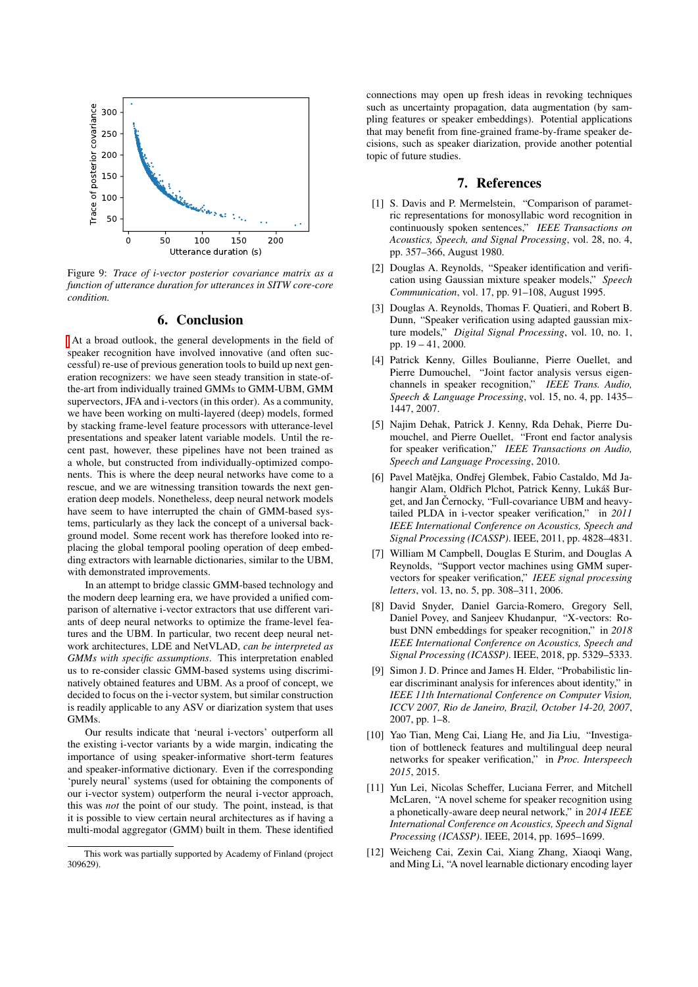<span id="page-6-12"></span>

Figure 9: *Trace of i-vector posterior covariance matrix as a function of utterance duration for utterances in SITW core-core condition.*

# 6. Conclusion

At a broad outlook, the general developments in the field of speaker recognition have involved innovative (and often successful) re-use of previous generation tools to build up next generation recognizers: we have seen steady transition in state-ofthe-art from individually trained GMMs to GMM-UBM, GMM supervectors, JFA and i-vectors (in this order). As a community, we have been working on multi-layered (deep) models, formed by stacking frame-level feature processors with utterance-level presentations and speaker latent variable models. Until the recent past, however, these pipelines have not been trained as a whole, but constructed from individually-optimized components. This is where the deep neural networks have come to a rescue, and we are witnessing transition towards the next generation deep models. Nonetheless, deep neural network models have seem to have interrupted the chain of GMM-based systems, particularly as they lack the concept of a universal background model. Some recent work has therefore looked into replacing the global temporal pooling operation of deep embedding extractors with learnable dictionaries, similar to the UBM, with demonstrated improvements.

In an attempt to bridge classic GMM-based technology and the modern deep learning era, we have provided a unified comparison of alternative i-vector extractors that use different variants of deep neural networks to optimize the frame-level features and the UBM. In particular, two recent deep neural network architectures, LDE and NetVLAD, *can be interpreted as GMMs with specific assumptions*. This interpretation enabled us to re-consider classic GMM-based systems using discriminatively obtained features and UBM. As a proof of concept, we decided to focus on the i-vector system, but similar construction is readily applicable to any ASV or diarization system that uses GMMs.

Our results indicate that 'neural i-vectors' outperform all the existing i-vector variants by a wide margin, indicating the importance of using speaker-informative short-term features and speaker-informative dictionary. Even if the corresponding 'purely neural' systems (used for obtaining the components of our i-vector system) outperform the neural i-vector approach, this was *not* the point of our study. The point, instead, is that it is possible to view certain neural architectures as if having a multi-modal aggregator (GMM) built in them. These identified

connections may open up fresh ideas in revoking techniques such as uncertainty propagation, data augmentation (by sampling features or speaker embeddings). Potential applications that may benefit from fine-grained frame-by-frame speaker decisions, such as speaker diarization, provide another potential topic of future studies.

# 7. References

- <span id="page-6-0"></span>[1] S. Davis and P. Mermelstein, "Comparison of parametric representations for monosyllabic word recognition in continuously spoken sentences," *IEEE Transactions on Acoustics, Speech, and Signal Processing*, vol. 28, no. 4, pp. 357–366, August 1980.
- <span id="page-6-1"></span>[2] Douglas A. Reynolds, "Speaker identification and verification using Gaussian mixture speaker models," *Speech Communication*, vol. 17, pp. 91–108, August 1995.
- <span id="page-6-2"></span>[3] Douglas A. Reynolds, Thomas F. Quatieri, and Robert B. Dunn, "Speaker verification using adapted gaussian mixture models," *Digital Signal Processing*, vol. 10, no. 1, pp. 19 – 41, 2000.
- <span id="page-6-3"></span>[4] Patrick Kenny, Gilles Boulianne, Pierre Ouellet, and Pierre Dumouchel, "Joint factor analysis versus eigenchannels in speaker recognition," *IEEE Trans. Audio, Speech & Language Processing*, vol. 15, no. 4, pp. 1435– 1447, 2007.
- <span id="page-6-4"></span>[5] Najim Dehak, Patrick J. Kenny, Rda Dehak, Pierre Dumouchel, and Pierre Ouellet, "Front end factor analysis for speaker verification," *IEEE Transactions on Audio, Speech and Language Processing*, 2010.
- <span id="page-6-5"></span>[6] Pavel Matějka, Ondřej Glembek, Fabio Castaldo, Md Jahangir Alam, Oldřich Plchot, Patrick Kenny, Lukáš Burget, and Jan Černocky, "Full-covariance UBM and heavytailed PLDA in i-vector speaker verification," in *2011 IEEE International Conference on Acoustics, Speech and Signal Processing (ICASSP)*. IEEE, 2011, pp. 4828–4831.
- <span id="page-6-6"></span>[7] William M Campbell, Douglas E Sturim, and Douglas A Reynolds, "Support vector machines using GMM supervectors for speaker verification," *IEEE signal processing letters*, vol. 13, no. 5, pp. 308–311, 2006.
- <span id="page-6-7"></span>[8] David Snyder, Daniel Garcia-Romero, Gregory Sell, Daniel Povey, and Sanjeev Khudanpur, "X-vectors: Robust DNN embeddings for speaker recognition," in *2018 IEEE International Conference on Acoustics, Speech and Signal Processing (ICASSP)*. IEEE, 2018, pp. 5329–5333.
- <span id="page-6-8"></span>[9] Simon J. D. Prince and James H. Elder, "Probabilistic linear discriminant analysis for inferences about identity," in *IEEE 11th International Conference on Computer Vision, ICCV 2007, Rio de Janeiro, Brazil, October 14-20, 2007*, 2007, pp. 1–8.
- <span id="page-6-9"></span>[10] Yao Tian, Meng Cai, Liang He, and Jia Liu, "Investigation of bottleneck features and multilingual deep neural networks for speaker verification," in *Proc. Interspeech 2015*, 2015.
- <span id="page-6-10"></span>[11] Yun Lei, Nicolas Scheffer, Luciana Ferrer, and Mitchell McLaren, "A novel scheme for speaker recognition using a phonetically-aware deep neural network," in *2014 IEEE International Conference on Acoustics, Speech and Signal Processing (ICASSP)*. IEEE, 2014, pp. 1695–1699.
- <span id="page-6-11"></span>[12] Weicheng Cai, Zexin Cai, Xiang Zhang, Xiaoqi Wang, and Ming Li, "A novel learnable dictionary encoding layer

This work was partially supported by Academy of Finland (project 309629).